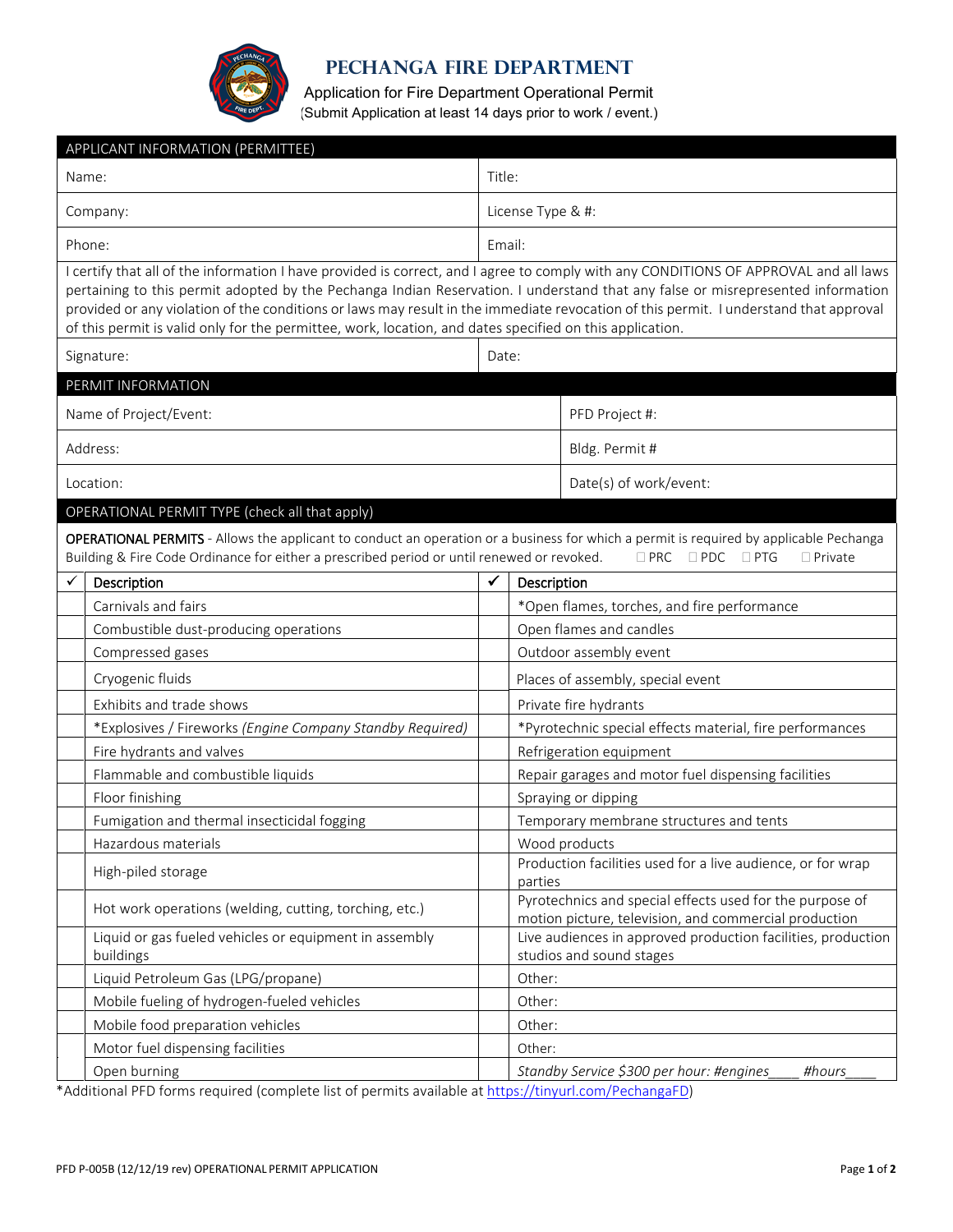

## **PEChanga Fire Department**

Application for Fire Department Operational Permit (Submit Application at least 14 days prior to work / event.)

| APPLICANT INFORMATION (PERMITTEE) |                                                                                                                                                                                                                                                                             |                                                                                                                                                                                                                                                                                                                                                                                                                  |                                                                                                                   |                                                    |  |  |  |  |  |
|-----------------------------------|-----------------------------------------------------------------------------------------------------------------------------------------------------------------------------------------------------------------------------------------------------------------------------|------------------------------------------------------------------------------------------------------------------------------------------------------------------------------------------------------------------------------------------------------------------------------------------------------------------------------------------------------------------------------------------------------------------|-------------------------------------------------------------------------------------------------------------------|----------------------------------------------------|--|--|--|--|--|
| Name:                             |                                                                                                                                                                                                                                                                             |                                                                                                                                                                                                                                                                                                                                                                                                                  | Title:                                                                                                            |                                                    |  |  |  |  |  |
| Company:                          |                                                                                                                                                                                                                                                                             | License Type & #:                                                                                                                                                                                                                                                                                                                                                                                                |                                                                                                                   |                                                    |  |  |  |  |  |
|                                   | Phone:                                                                                                                                                                                                                                                                      |                                                                                                                                                                                                                                                                                                                                                                                                                  |                                                                                                                   | Email:                                             |  |  |  |  |  |
|                                   | of this permit is valid only for the permittee, work, location, and dates specified on this application.                                                                                                                                                                    | I certify that all of the information I have provided is correct, and I agree to comply with any CONDITIONS OF APPROVAL and all laws<br>pertaining to this permit adopted by the Pechanga Indian Reservation. I understand that any false or misrepresented information<br>provided or any violation of the conditions or laws may result in the immediate revocation of this permit. I understand that approval |                                                                                                                   |                                                    |  |  |  |  |  |
|                                   | Signature:                                                                                                                                                                                                                                                                  |                                                                                                                                                                                                                                                                                                                                                                                                                  |                                                                                                                   | Date:                                              |  |  |  |  |  |
|                                   | PERMIT INFORMATION                                                                                                                                                                                                                                                          |                                                                                                                                                                                                                                                                                                                                                                                                                  |                                                                                                                   |                                                    |  |  |  |  |  |
| Name of Project/Event:            |                                                                                                                                                                                                                                                                             |                                                                                                                                                                                                                                                                                                                                                                                                                  | PFD Project #:                                                                                                    |                                                    |  |  |  |  |  |
|                                   | Address:                                                                                                                                                                                                                                                                    |                                                                                                                                                                                                                                                                                                                                                                                                                  |                                                                                                                   | Bldg. Permit #                                     |  |  |  |  |  |
|                                   | Location:                                                                                                                                                                                                                                                                   |                                                                                                                                                                                                                                                                                                                                                                                                                  |                                                                                                                   | Date(s) of work/event:                             |  |  |  |  |  |
|                                   | OPERATIONAL PERMIT TYPE (check all that apply)                                                                                                                                                                                                                              |                                                                                                                                                                                                                                                                                                                                                                                                                  |                                                                                                                   |                                                    |  |  |  |  |  |
|                                   | OPERATIONAL PERMITS - Allows the applicant to conduct an operation or a business for which a permit is required by applicable Pechanga<br>Building & Fire Code Ordinance for either a prescribed period or until renewed or revoked.<br>□ PRC □ PDC □ PTG<br>$\Box$ Private |                                                                                                                                                                                                                                                                                                                                                                                                                  |                                                                                                                   |                                                    |  |  |  |  |  |
| ✓                                 | Description                                                                                                                                                                                                                                                                 | ✔                                                                                                                                                                                                                                                                                                                                                                                                                | Description                                                                                                       |                                                    |  |  |  |  |  |
|                                   | Carnivals and fairs                                                                                                                                                                                                                                                         |                                                                                                                                                                                                                                                                                                                                                                                                                  |                                                                                                                   | *Open flames, torches, and fire performance        |  |  |  |  |  |
|                                   | Combustible dust-producing operations                                                                                                                                                                                                                                       |                                                                                                                                                                                                                                                                                                                                                                                                                  |                                                                                                                   | Open flames and candles                            |  |  |  |  |  |
|                                   | Compressed gases                                                                                                                                                                                                                                                            |                                                                                                                                                                                                                                                                                                                                                                                                                  |                                                                                                                   | Outdoor assembly event                             |  |  |  |  |  |
|                                   | Cryogenic fluids                                                                                                                                                                                                                                                            |                                                                                                                                                                                                                                                                                                                                                                                                                  |                                                                                                                   | Places of assembly, special event                  |  |  |  |  |  |
|                                   | Exhibits and trade shows                                                                                                                                                                                                                                                    |                                                                                                                                                                                                                                                                                                                                                                                                                  | Private fire hydrants                                                                                             |                                                    |  |  |  |  |  |
|                                   | *Explosives / Fireworks (Engine Company Standby Required)                                                                                                                                                                                                                   |                                                                                                                                                                                                                                                                                                                                                                                                                  | *Pyrotechnic special effects material, fire performances                                                          |                                                    |  |  |  |  |  |
|                                   | Fire hydrants and valves                                                                                                                                                                                                                                                    |                                                                                                                                                                                                                                                                                                                                                                                                                  | Refrigeration equipment                                                                                           |                                                    |  |  |  |  |  |
|                                   | Flammable and combustible liquids                                                                                                                                                                                                                                           |                                                                                                                                                                                                                                                                                                                                                                                                                  | Repair garages and motor fuel dispensing facilities                                                               |                                                    |  |  |  |  |  |
|                                   | Floor finishing                                                                                                                                                                                                                                                             |                                                                                                                                                                                                                                                                                                                                                                                                                  | Spraying or dipping                                                                                               |                                                    |  |  |  |  |  |
|                                   | Fumigation and thermal insecticidal fogging                                                                                                                                                                                                                                 |                                                                                                                                                                                                                                                                                                                                                                                                                  | Temporary membrane structures and tents                                                                           |                                                    |  |  |  |  |  |
|                                   | Hazardous materials                                                                                                                                                                                                                                                         |                                                                                                                                                                                                                                                                                                                                                                                                                  | Wood products                                                                                                     |                                                    |  |  |  |  |  |
|                                   | High-piled storage                                                                                                                                                                                                                                                          |                                                                                                                                                                                                                                                                                                                                                                                                                  | Production facilities used for a live audience, or for wrap<br>parties                                            |                                                    |  |  |  |  |  |
|                                   | Hot work operations (welding, cutting, torching, etc.)                                                                                                                                                                                                                      |                                                                                                                                                                                                                                                                                                                                                                                                                  | Pyrotechnics and special effects used for the purpose of<br>motion picture, television, and commercial production |                                                    |  |  |  |  |  |
|                                   | Liquid or gas fueled vehicles or equipment in assembly<br>buildings                                                                                                                                                                                                         |                                                                                                                                                                                                                                                                                                                                                                                                                  | Live audiences in approved production facilities, production<br>studios and sound stages                          |                                                    |  |  |  |  |  |
|                                   | Liquid Petroleum Gas (LPG/propane)                                                                                                                                                                                                                                          |                                                                                                                                                                                                                                                                                                                                                                                                                  | Other:                                                                                                            |                                                    |  |  |  |  |  |
|                                   | Mobile fueling of hydrogen-fueled vehicles                                                                                                                                                                                                                                  |                                                                                                                                                                                                                                                                                                                                                                                                                  | Other:                                                                                                            |                                                    |  |  |  |  |  |
|                                   | Mobile food preparation vehicles                                                                                                                                                                                                                                            |                                                                                                                                                                                                                                                                                                                                                                                                                  | Other:                                                                                                            |                                                    |  |  |  |  |  |
|                                   | Motor fuel dispensing facilities                                                                                                                                                                                                                                            |                                                                                                                                                                                                                                                                                                                                                                                                                  | Other:                                                                                                            |                                                    |  |  |  |  |  |
|                                   | Open burning                                                                                                                                                                                                                                                                |                                                                                                                                                                                                                                                                                                                                                                                                                  |                                                                                                                   | Standby Service \$300 per hour: #engines<br>#hours |  |  |  |  |  |

\*Additional PFD forms required (complete list of permits available at [https://tinyurl.com/PechangaFD\)](https://tinyurl.com/PechangaFD)